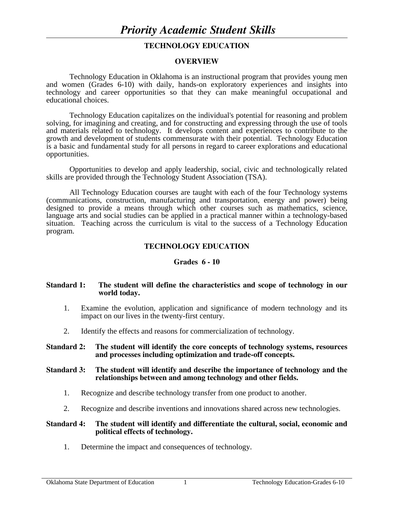# *Priority Academic Student Skills*

## **TECHNOLOGY EDUCATION**

#### **OVERVIEW**

Technology Education in Oklahoma is an instructional program that provides young men and women (Grades 6-10) with daily, hands-on exploratory experiences and insights into technology and career opportunities so that they can make meaningful occupational and educational choices.

 Technology Education capitalizes on the individual's potential for reasoning and problem solving, for imagining and creating, and for constructing and expressing through the use of tools and materials related to technology. It develops content and experiences to contribute to the growth and development of students commensurate with their potential. Technology Education is a basic and fundamental study for all persons in regard to career explorations and educational opportunities.

 Opportunities to develop and apply leadership, social, civic and technologically related skills are provided through the Technology Student Association (TSA).

 All Technology Education courses are taught with each of the four Technology systems (communications, construction, manufacturing and transportation, energy and power) being designed to provide a means through which other courses such as mathematics, science, language arts and social studies can be applied in a practical manner within a technology-based situation. Teaching across the curriculum is vital to the success of a Technology Education program.

#### **TECHNOLOGY EDUCATION**

#### **Grades 6 - 10**

#### **Standard 1: The student will define the characteristics and scope of technology in our world today.**

- 1. Examine the evolution, application and significance of modern technology and its impact on our lives in the twenty-first century.
- 2. Identify the effects and reasons for commercialization of technology.

#### **Standard 2: The student will identify the core concepts of technology systems, resources and processes including optimization and trade-off concepts.**

#### **Standard 3: The student will identify and describe the importance of technology and the relationships between and among technology and other fields.**

- 1. Recognize and describe technology transfer from one product to another.
- 2. Recognize and describe inventions and innovations shared across new technologies.

#### **Standard 4: The student will identify and differentiate the cultural, social, economic and political effects of technology.**

1. Determine the impact and consequences of technology.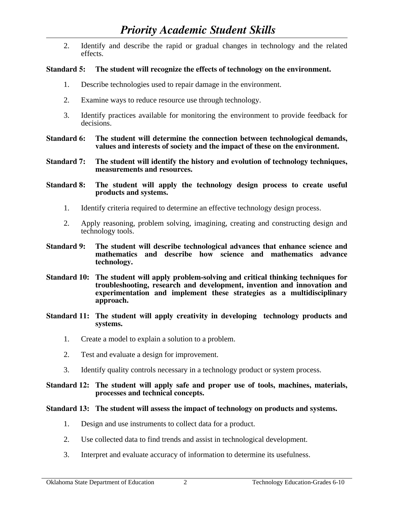2. Identify and describe the rapid or gradual changes in technology and the related effects.

## **Standard 5: The student will recognize the effects of technology on the environment.**

- 1. Describe technologies used to repair damage in the environment.
- 2. Examine ways to reduce resource use through technology.
- 3. Identify practices available for monitoring the environment to provide feedback for decisions.
- **Standard 6: The student will determine the connection between technological demands, values and interests of society and the impact of these on the environment.**
- **Standard 7: The student will identify the history and evolution of technology techniques, measurements and resources.**

**Standard 8: The student will apply the technology design process to create useful products and systems.** 

- 1. Identify criteria required to determine an effective technology design process.
- 2. Apply reasoning, problem solving, imagining, creating and constructing design and technology tools.
- **Standard 9: The student will describe technological advances that enhance science and mathematics and describe how science and mathematics advance technology.**
- **Standard 10: The student will apply problem-solving and critical thinking techniques for troubleshooting, research and development, invention and innovation and experimentation and implement these strategies as a multidisciplinary approach.**
- **Standard 11: The student will apply creativity in developing technology products and systems.** 
	- 1. Create a model to explain a solution to a problem.
	- 2. Test and evaluate a design for improvement.
	- 3. Identify quality controls necessary in a technology product or system process.

## **Standard 12: The student will apply safe and proper use of tools, machines, materials, processes and technical concepts.**

## **Standard 13: The student will assess the impact of technology on products and systems.**

- 1. Design and use instruments to collect data for a product.
- 2. Use collected data to find trends and assist in technological development.
- 3. Interpret and evaluate accuracy of information to determine its usefulness.